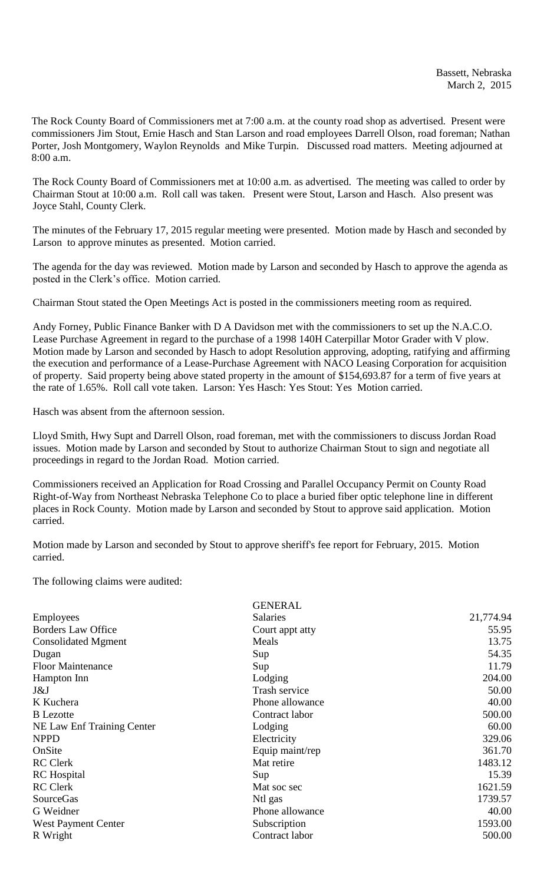The Rock County Board of Commissioners met at 7:00 a.m. at the county road shop as advertised. Present were commissioners Jim Stout, Ernie Hasch and Stan Larson and road employees Darrell Olson, road foreman; Nathan Porter, Josh Montgomery, Waylon Reynolds and Mike Turpin. Discussed road matters. Meeting adjourned at 8:00 a.m.

The Rock County Board of Commissioners met at 10:00 a.m. as advertised. The meeting was called to order by Chairman Stout at 10:00 a.m. Roll call was taken. Present were Stout, Larson and Hasch. Also present was Joyce Stahl, County Clerk.

The minutes of the February 17, 2015 regular meeting were presented. Motion made by Hasch and seconded by Larson to approve minutes as presented. Motion carried.

The agenda for the day was reviewed. Motion made by Larson and seconded by Hasch to approve the agenda as posted in the Clerk's office. Motion carried.

Chairman Stout stated the Open Meetings Act is posted in the commissioners meeting room as required.

Andy Forney, Public Finance Banker with D A Davidson met with the commissioners to set up the N.A.C.O. Lease Purchase Agreement in regard to the purchase of a 1998 140H Caterpillar Motor Grader with V plow. Motion made by Larson and seconded by Hasch to adopt Resolution approving, adopting, ratifying and affirming the execution and performance of a Lease-Purchase Agreement with NACO Leasing Corporation for acquisition of property. Said property being above stated property in the amount of \$154,693.87 for a term of five years at the rate of 1.65%. Roll call vote taken. Larson: Yes Hasch: Yes Stout: Yes Motion carried.

Hasch was absent from the afternoon session.

Lloyd Smith, Hwy Supt and Darrell Olson, road foreman, met with the commissioners to discuss Jordan Road issues. Motion made by Larson and seconded by Stout to authorize Chairman Stout to sign and negotiate all proceedings in regard to the Jordan Road. Motion carried.

Commissioners received an Application for Road Crossing and Parallel Occupancy Permit on County Road Right-of-Way from Northeast Nebraska Telephone Co to place a buried fiber optic telephone line in different places in Rock County. Motion made by Larson and seconded by Stout to approve said application. Motion carried.

Motion made by Larson and seconded by Stout to approve sheriff's fee report for February, 2015. Motion carried.

The following claims were audited:

| <b>GENERAL</b>  |           |
|-----------------|-----------|
| Salaries        | 21,774.94 |
| Court appt atty | 55.95     |
| Meals           | 13.75     |
| Sup             | 54.35     |
| Sup             | 11.79     |
| Lodging         | 204.00    |
| Trash service   | 50.00     |
| Phone allowance | 40.00     |
| Contract labor  | 500.00    |
| Lodging         | 60.00     |
| Electricity     | 329.06    |
| Equip maint/rep | 361.70    |
| Mat retire      | 1483.12   |
| Sup             | 15.39     |
| Mat soc sec     | 1621.59   |
| Ntl gas         | 1739.57   |
| Phone allowance | 40.00     |
| Subscription    | 1593.00   |
| Contract labor  | 500.00    |
|                 |           |